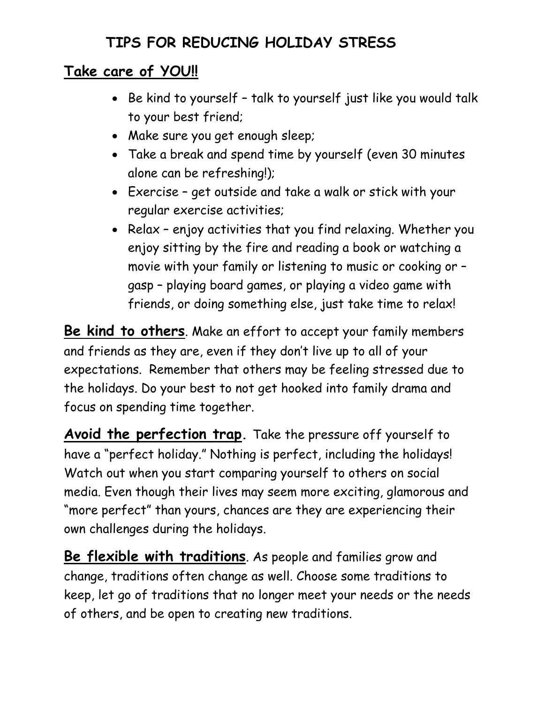## **TIPS FOR REDUCING HOLIDAY STRESS**

## **Take care of YOU!!**

- Be kind to yourself talk to yourself just like you would talk to your best friend;
- Make sure you get enough sleep;
- Take a break and spend time by yourself (even 30 minutes alone can be refreshing!);
- Exercise get outside and take a walk or stick with your regular exercise activities;
- Relax enjoy activities that you find relaxing. Whether you enjoy sitting by the fire and reading a book or watching a movie with your family or listening to music or cooking or – gasp – playing board games, or playing a video game with friends, or doing something else, just take time to relax!

**Be kind to others**. Make an effort to accept your family members and friends as they are, even if they don't live up to all of your expectations. Remember that others may be feeling stressed due to the holidays. Do your best to not get hooked into family drama and focus on spending time together.

**Avoid the perfection trap.** Take the pressure off yourself to have a "perfect holiday." Nothing is perfect, including the holidays! Watch out when you start comparing yourself to others on social media. Even though their lives may seem more exciting, glamorous and "more perfect" than yours, chances are they are experiencing their own challenges during the holidays.

**Be flexible with traditions**. As people and families grow and change, traditions often change as well. Choose some traditions to keep, let go of traditions that no longer meet your needs or the needs of others, and be open to creating new traditions.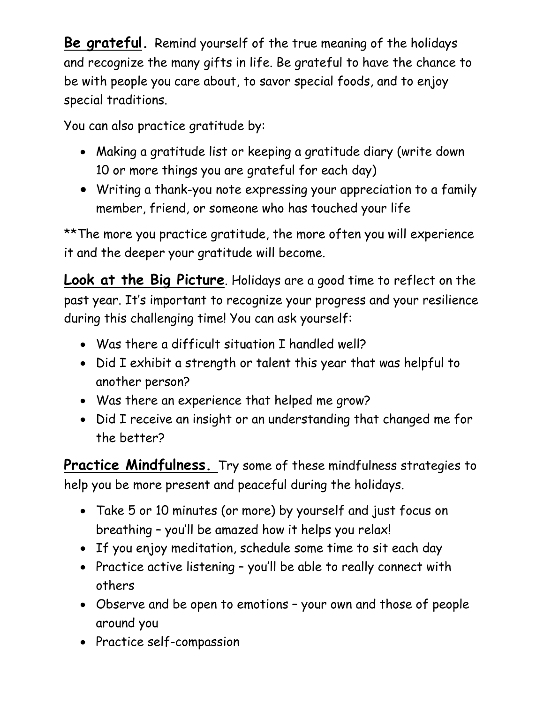**Be grateful.** Remind yourself of the true meaning of the holidays and recognize the many gifts in life. Be grateful to have the chance to be with people you care about, to savor special foods, and to enjoy special traditions.

You can also practice gratitude by:

- Making a gratitude list or keeping a gratitude diary (write down 10 or more things you are grateful for each day)
- Writing a thank-you note expressing your appreciation to a family member, friend, or someone who has touched your life

\*\* The more you practice gratitude, the more often you will experience it and the deeper your gratitude will become.

**Look at the Big Picture**. Holidays are a good time to reflect on the past year. It's important to recognize your progress and your resilience during this challenging time! You can ask yourself:

- Was there a difficult situation I handled well?
- Did I exhibit a strength or talent this year that was helpful to another person?
- Was there an experience that helped me grow?
- Did I receive an insight or an understanding that changed me for the better?

**Practice Mindfulness.** Try some of these mindfulness strategies to help you be more present and peaceful during the holidays.

- Take 5 or 10 minutes (or more) by yourself and just focus on breathing – you'll be amazed how it helps you relax!
- If you enjoy meditation, schedule some time to sit each day
- Practice active listening you'll be able to really connect with others
- Observe and be open to emotions your own and those of people around you
- Practice self-compassion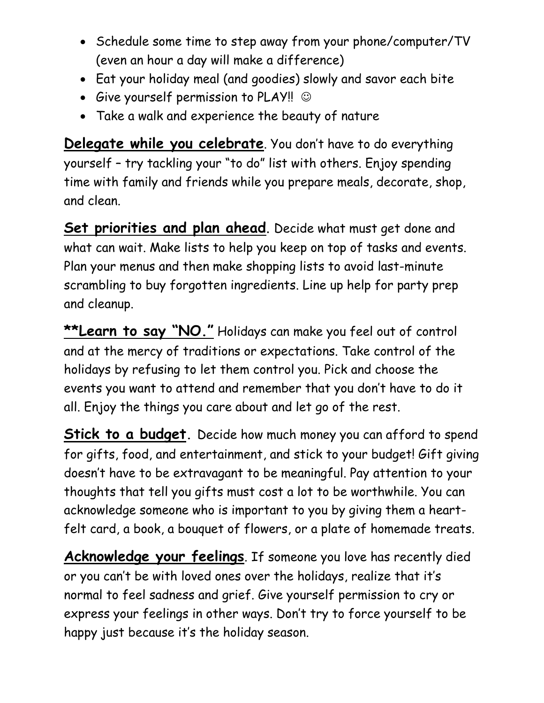- Schedule some time to step away from your phone/computer/TV (even an hour a day will make a difference)
- Eat your holiday meal (and goodies) slowly and savor each bite
- Give yourself permission to PLAY!!  $\odot$
- Take a walk and experience the beauty of nature

**Delegate while you celebrate**. You don't have to do everything yourself – try tackling your "to do" list with others. Enjoy spending time with family and friends while you prepare meals, decorate, shop, and clean.

**Set priorities and plan ahead**. Decide what must get done and what can wait. Make lists to help you keep on top of tasks and events. Plan your menus and then make shopping lists to avoid last-minute scrambling to buy forgotten ingredients. Line up help for party prep and cleanup.

**\*\*Learn to say "NO."** Holidays can make you feel out of control and at the mercy of traditions or expectations. Take control of the holidays by refusing to let them control you. Pick and choose the events you want to attend and remember that you don't have to do it all. Enjoy the things you care about and let go of the rest.

**Stick to a budget**. Decide how much money you can afford to spend for gifts, food, and entertainment, and stick to your budget! Gift giving doesn't have to be extravagant to be meaningful. Pay attention to your thoughts that tell you gifts must cost a lot to be worthwhile. You can acknowledge someone who is important to you by giving them a heartfelt card, a book, a bouquet of flowers, or a plate of homemade treats.

**Acknowledge your feelings**. If someone you love has recently died or you can't be with loved ones over the holidays, realize that it's normal to feel sadness and grief. Give yourself permission to cry or express your feelings in other ways. Don't try to force yourself to be happy just because it's the holiday season.